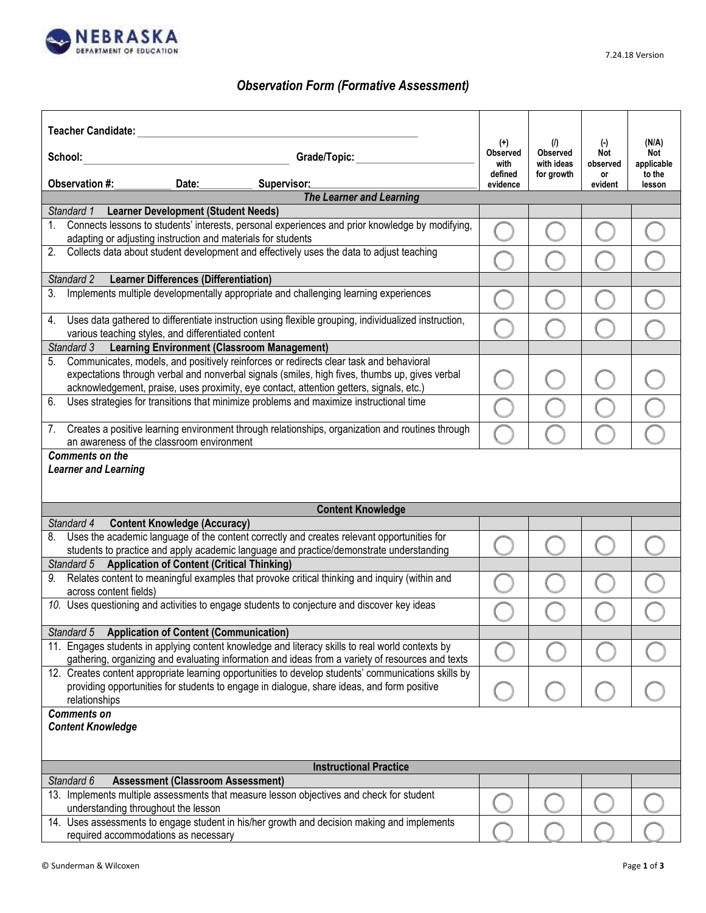

## *Observation Form (Formative Assessment)*

| <b>Teacher Candidate:</b>                                                                                                                                                                                                                                                                 | $(+)$                   | (I)                           | $(\cdot)$       | (N/A)             |
|-------------------------------------------------------------------------------------------------------------------------------------------------------------------------------------------------------------------------------------------------------------------------------------------|-------------------------|-------------------------------|-----------------|-------------------|
| School:<br>Grade/Topic:                                                                                                                                                                                                                                                                   | <b>Observed</b><br>with | <b>Observed</b><br>with ideas | Not<br>observed | Not<br>applicable |
| Observation #:<br>Date:<br>Supervisor:                                                                                                                                                                                                                                                    | defined<br>evidence     | for growth                    | or<br>evident   | to the<br>lesson  |
| <b>The Learner and Learning</b>                                                                                                                                                                                                                                                           |                         |                               |                 |                   |
| <b>Learner Development (Student Needs)</b><br>Standard 1                                                                                                                                                                                                                                  |                         |                               |                 |                   |
| Connects lessons to students' interests, personal experiences and prior knowledge by modifying,<br>1.<br>adapting or adjusting instruction and materials for students                                                                                                                     |                         |                               |                 |                   |
| Collects data about student development and effectively uses the data to adjust teaching<br>2.                                                                                                                                                                                            |                         |                               |                 |                   |
| Standard 2<br><b>Learner Differences (Differentiation)</b>                                                                                                                                                                                                                                |                         |                               |                 |                   |
| Implements multiple developmentally appropriate and challenging learning experiences<br>3.                                                                                                                                                                                                |                         |                               |                 |                   |
| Uses data gathered to differentiate instruction using flexible grouping, individualized instruction,<br>4.<br>various teaching styles, and differentiated content                                                                                                                         |                         |                               |                 |                   |
| Standard 3 Learning Environment (Classroom Management)                                                                                                                                                                                                                                    |                         |                               |                 |                   |
| Communicates, models, and positively reinforces or redirects clear task and behavioral<br>5.<br>expectations through verbal and nonverbal signals (smiles, high fives, thumbs up, gives verbal<br>acknowledgement, praise, uses proximity, eye contact, attention getters, signals, etc.) |                         |                               |                 |                   |
| Uses strategies for transitions that minimize problems and maximize instructional time<br>6.                                                                                                                                                                                              |                         |                               |                 |                   |
| Creates a positive learning environment through relationships, organization and routines through<br>7.<br>an awareness of the classroom environment                                                                                                                                       |                         |                               |                 |                   |
| <b>Learner and Learning</b>                                                                                                                                                                                                                                                               |                         |                               |                 |                   |
| <b>Content Knowledge</b>                                                                                                                                                                                                                                                                  |                         |                               |                 |                   |
| Standard 4<br><b>Content Knowledge (Accuracy)</b>                                                                                                                                                                                                                                         |                         |                               |                 |                   |
| Uses the academic language of the content correctly and creates relevant opportunities for<br>8.<br>students to practice and apply academic language and practice/demonstrate understanding                                                                                               |                         |                               |                 |                   |
| Standard 5 Application of Content (Critical Thinking)                                                                                                                                                                                                                                     |                         |                               |                 |                   |
| Relates content to meaningful examples that provoke critical thinking and inquiry (within and<br>across content fields)                                                                                                                                                                   |                         |                               |                 |                   |
| 10. Uses questioning and activities to engage students to conjecture and discover key ideas                                                                                                                                                                                               |                         |                               |                 |                   |
| Standard 5 Application of Content (Communication)                                                                                                                                                                                                                                         |                         |                               |                 |                   |
| 11. Engages students in applying content knowledge and literacy skills to real world contexts by<br>gathering, organizing and evaluating information and ideas from a variety of resources and texts                                                                                      |                         |                               |                 |                   |
| 12. Creates content appropriate learning opportunities to develop students' communications skills by<br>providing opportunities for students to engage in dialogue, share ideas, and form positive<br>relationships                                                                       |                         |                               |                 |                   |
| <b>Comments on</b><br><b>Content Knowledge</b>                                                                                                                                                                                                                                            |                         |                               |                 |                   |
|                                                                                                                                                                                                                                                                                           |                         |                               |                 |                   |
| <b>Instructional Practice</b><br>Standard 6<br><b>Assessment (Classroom Assessment)</b>                                                                                                                                                                                                   |                         |                               |                 |                   |
| 13. Implements multiple assessments that measure lesson objectives and check for student<br>understanding throughout the lesson                                                                                                                                                           |                         |                               |                 |                   |
| 14. Uses assessments to engage student in his/her growth and decision making and implements<br>required accommodations as necessary                                                                                                                                                       |                         |                               |                 |                   |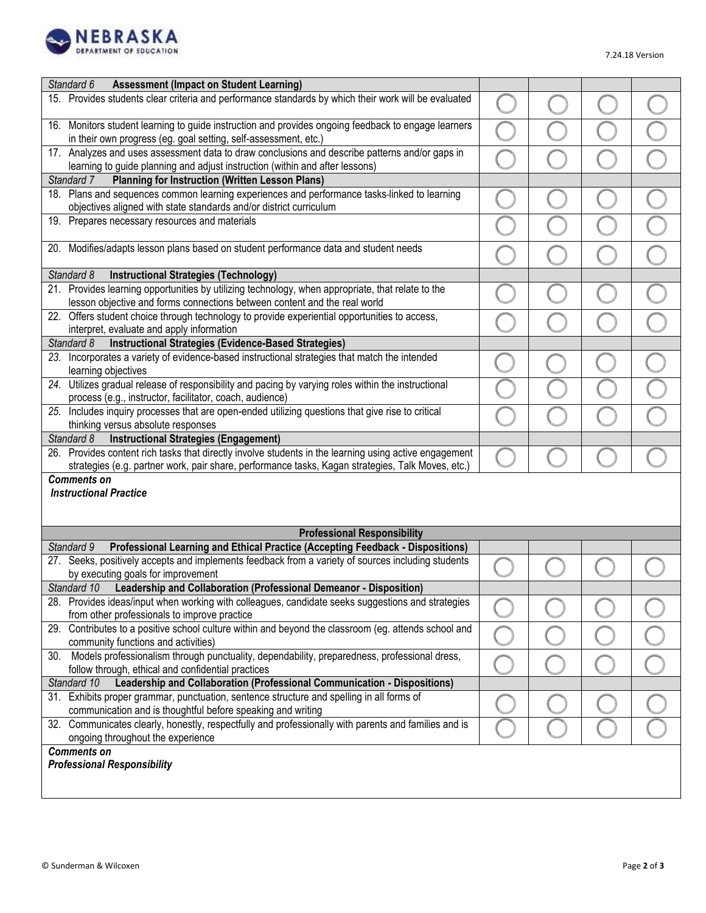

| <b>Assessment (Impact on Student Learning)</b><br>Standard 6                                                                                                           |  |  |
|------------------------------------------------------------------------------------------------------------------------------------------------------------------------|--|--|
| 15. Provides students clear criteria and performance standards by which their work will be evaluated                                                                   |  |  |
| 16. Monitors student learning to guide instruction and provides ongoing feedback to engage learners<br>in their own progress (eg. goal setting, self-assessment, etc.) |  |  |
| 17. Analyzes and uses assessment data to draw conclusions and describe patterns and/or gaps in                                                                         |  |  |
| learning to guide planning and adjust instruction (within and after lessons)                                                                                           |  |  |
| <b>Planning for Instruction (Written Lesson Plans)</b><br>Standard 7                                                                                                   |  |  |
| 18. Plans and sequences common learning experiences and performance tasks-linked to learning<br>objectives aligned with state standards and/or district curriculum     |  |  |
| 19. Prepares necessary resources and materials                                                                                                                         |  |  |
| 20. Modifies/adapts lesson plans based on student performance data and student needs                                                                                   |  |  |
| <b>Instructional Strategies (Technology)</b><br>Standard 8                                                                                                             |  |  |
| 21. Provides learning opportunities by utilizing technology, when appropriate, that relate to the                                                                      |  |  |
| lesson objective and forms connections between content and the real world                                                                                              |  |  |
| 22. Offers student choice through technology to provide experiential opportunities to access,<br>interpret, evaluate and apply information                             |  |  |
| <b>Instructional Strategies (Evidence-Based Strategies)</b><br>Standard 8                                                                                              |  |  |
| 23. Incorporates a variety of evidence-based instructional strategies that match the intended                                                                          |  |  |
| learning objectives                                                                                                                                                    |  |  |
| 24. Utilizes gradual release of responsibility and pacing by varying roles within the instructional<br>process (e.g., instructor, facilitator, coach, audience)        |  |  |
| 25. Includes inquiry processes that are open-ended utilizing questions that give rise to critical                                                                      |  |  |
| thinking versus absolute responses                                                                                                                                     |  |  |
| Standard 8<br><b>Instructional Strategies (Engagement)</b>                                                                                                             |  |  |
| 26. Provides content rich tasks that directly involve students in the learning using active engagement                                                                 |  |  |
| strategies (e.g. partner work, pair share, performance tasks, Kagan strategies, Talk Moves, etc.)                                                                      |  |  |
| <b>Comments on</b><br><b>Instructional Practice</b>                                                                                                                    |  |  |
| <b>Professional Responsibility</b>                                                                                                                                     |  |  |
| Professional Learning and Ethical Practice (Accepting Feedback - Dispositions)<br>Standard 9                                                                           |  |  |
| 27. Seeks, positively accepts and implements feedback from a variety of sources including students<br>by executing goals for improvement                               |  |  |
| Standard 10<br>Leadership and Collaboration (Professional Demeanor - Disposition)                                                                                      |  |  |
| 28. Provides ideas/input when working with colleagues, candidate seeks suggestions and strategies                                                                      |  |  |
| from other professionals to improve practice                                                                                                                           |  |  |
| 29. Contributes to a positive school culture within and beyond the classroom (eg. attends school and<br>community functions and activities)                            |  |  |
| 30. Models professionalism through punctuality, dependability, preparedness, professional dress,                                                                       |  |  |
| follow through, ethical and confidential practices<br>Leadership and Collaboration (Professional Communication - Dispositions)<br>Standard 10                          |  |  |
| 31. Exhibits proper grammar, punctuation, sentence structure and spelling in all forms of                                                                              |  |  |
| communication and is thoughtful before speaking and writing                                                                                                            |  |  |
| 32. Communicates clearly, honestly, respectfully and professionally with parents and families and is<br>ongoing throughout the experience                              |  |  |
| <b>Comments on</b>                                                                                                                                                     |  |  |
| <b>Professional Responsibility</b>                                                                                                                                     |  |  |
|                                                                                                                                                                        |  |  |
|                                                                                                                                                                        |  |  |